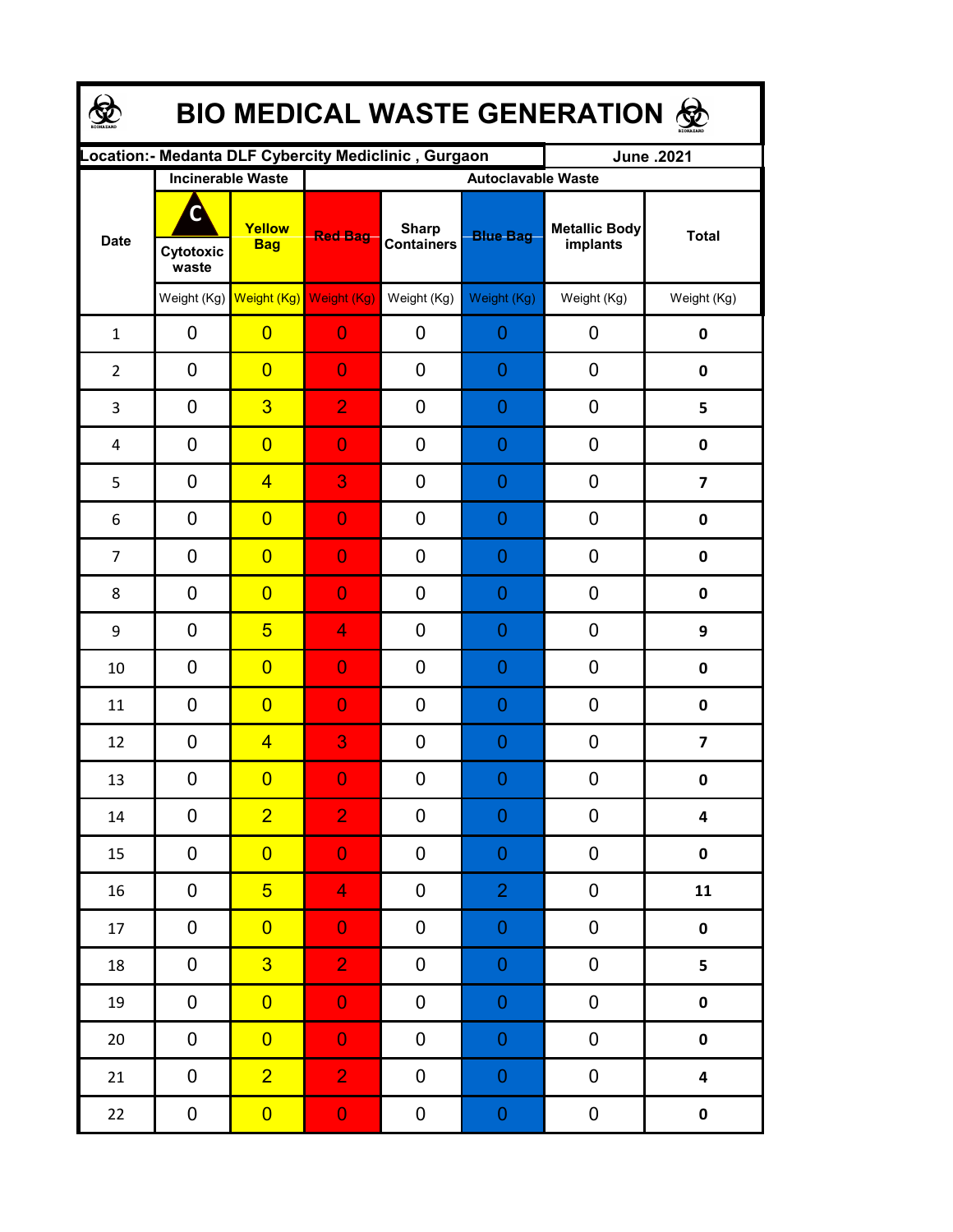| <b>BIO MEDICAL WASTE GENERATION ®</b> |                          |                         |                                                      |                                   |                           |                                  |                         |  |  |  |  |
|---------------------------------------|--------------------------|-------------------------|------------------------------------------------------|-----------------------------------|---------------------------|----------------------------------|-------------------------|--|--|--|--|
|                                       |                          |                         | Location:- Medanta DLF Cybercity Mediclinic, Gurgaon |                                   |                           | June .2021                       |                         |  |  |  |  |
|                                       | <b>Incinerable Waste</b> |                         |                                                      |                                   | <b>Autoclavable Waste</b> |                                  |                         |  |  |  |  |
| <b>Date</b>                           | Cytotoxic<br>waste       | Yellow<br><b>Bag</b>    | <b>Red Bag</b>                                       | <b>Sharp</b><br><b>Containers</b> | <b>Blue Bag</b>           | <b>Metallic Body</b><br>implants | <b>Total</b>            |  |  |  |  |
|                                       |                          |                         | Weight (Kg) Weight (Kg) Weight (Kg)                  | Weight (Kg)                       | Weight (Kg)               | Weight (Kg)                      | Weight (Kg)             |  |  |  |  |
| $\mathbf{1}$                          | 0                        | $\overline{0}$          | $\overline{0}$                                       | 0                                 | 0                         | 0                                | 0                       |  |  |  |  |
| $\overline{2}$                        | 0                        | $\overline{0}$          | $\overline{0}$                                       | $\overline{0}$                    | $\overline{0}$            | 0                                | $\mathbf 0$             |  |  |  |  |
| 3                                     | 0                        | $\overline{3}$          | $\overline{2}$                                       | 0                                 | $\overline{0}$            | 0                                | 5                       |  |  |  |  |
| 4                                     | 0                        | $\overline{0}$          | $\overline{0}$                                       | $\overline{0}$                    | $\overline{0}$            | 0                                | $\pmb{0}$               |  |  |  |  |
| 5                                     | 0                        | $\overline{4}$          | 3                                                    | $\overline{0}$                    | 0                         | 0                                | $\overline{\mathbf{z}}$ |  |  |  |  |
| 6                                     | 0                        | $\overline{0}$          | $\overline{0}$                                       | $\overline{0}$                    | 0                         | 0                                | $\mathbf 0$             |  |  |  |  |
| $\overline{7}$                        | 0                        | $\overline{0}$          | $\overline{0}$                                       | $\overline{0}$                    | 0                         | 0                                | 0                       |  |  |  |  |
| 8                                     | 0                        | $\overline{0}$          | $\overline{0}$                                       | $\overline{0}$                    | $\overline{0}$            | 0                                | 0                       |  |  |  |  |
| 9                                     | $\mathbf 0$              | 5                       | 4                                                    | $\overline{0}$                    | $\overline{0}$            | 0                                | 9                       |  |  |  |  |
| 10                                    | $\mathbf 0$              | $\overline{0}$          | $\overline{0}$                                       | $\overline{0}$                    | 0                         | 0                                | 0                       |  |  |  |  |
| 11                                    | $\overline{0}$           | $\overline{0}$          | $\overline{0}$                                       | $\overline{0}$                    | 0                         | 0                                | $\mathbf 0$             |  |  |  |  |
| 12                                    | $\mathbf 0$              | $\overline{4}$          | 3                                                    | $\overline{0}$                    | $\mathbf 0$               | 0                                | $\overline{\mathbf{z}}$ |  |  |  |  |
| 13                                    | 0                        | $\overline{\mathbf{0}}$ | $\overline{0}$                                       | $\boldsymbol{0}$                  | $\overline{0}$            | 0                                | 0                       |  |  |  |  |
| 14                                    | $\mathbf 0$              | $\overline{2}$          | $\overline{2}$                                       | 0                                 | $\boldsymbol{0}$          | 0                                | $\overline{\mathbf{4}}$ |  |  |  |  |
| 15                                    | 0                        | $\overline{0}$          | $\overline{0}$                                       | 0                                 | $\mathbf 0$               | 0                                | $\pmb{0}$               |  |  |  |  |
| 16                                    | $\pmb{0}$                | 5 <sup>5</sup>          | $\overline{4}$                                       | 0                                 | $\overline{2}$            | $\pmb{0}$                        | 11                      |  |  |  |  |
| 17                                    | $\pmb{0}$                | $\overline{0}$          | $\overline{0}$                                       | 0                                 | $\mathbf 0$               | ${\bf 0}$                        | $\pmb{0}$               |  |  |  |  |
| 18                                    | $\pmb{0}$                | $\overline{3}$          | $\overline{2}$                                       | 0                                 | $\mathbf 0$               | ${\bf 0}$                        | 5                       |  |  |  |  |
| 19                                    | $\pmb{0}$                | $\overline{0}$          | $\mathbf{0}$                                         | $\pmb{0}$                         | $\mathbf 0$               | $\pmb{0}$                        | $\pmb{0}$               |  |  |  |  |
| $20\,$                                | $\pmb{0}$                | $\overline{0}$          | $\mathbf{0}$                                         | 0                                 | $\mathbf 0$               | $\pmb{0}$                        | $\pmb{0}$               |  |  |  |  |
| 21                                    | $\pmb{0}$                | $\overline{2}$          | $\overline{2}$                                       | 0                                 | $\mathbf 0$               | $\pmb{0}$                        | $\overline{\mathbf{4}}$ |  |  |  |  |
| 22                                    | $\pmb{0}$                | $\overline{0}$          | $\mathbf{0}$                                         | 0                                 | $\boldsymbol{0}$          | $\boldsymbol{0}$                 | $\pmb{0}$               |  |  |  |  |